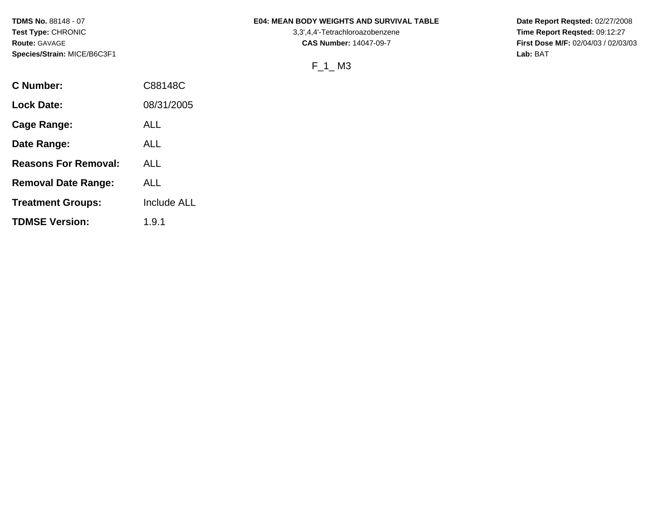**TDMS No.** 88148 - 07 **Test Type:** CHRONIC **Route:** GAVAGE **Species/Strain:** MICE/B6C3F1

#### **E04: MEAN BODY WEIGHTS AND SURVIVAL TABLE**

3,3',4,4'-Tetrachloroazobenzene **CAS Number:** 14047-09-7

F\_1\_ M3

**Date Report Reqsted:** 02/27/2008 **Time Report Reqsted:** 09:12:27 **First Dose M/F:** 02/04/03 / 02/03/03 **Lab:** BAT

| C Number:                   | C88148C            |
|-----------------------------|--------------------|
| <b>Lock Date:</b>           | 08/31/2005         |
| Cage Range:                 | ALL                |
| Date Range:                 | ALL                |
| <b>Reasons For Removal:</b> | ALL                |
| <b>Removal Date Range:</b>  | ALL                |
| <b>Treatment Groups:</b>    | <b>Include ALL</b> |
| <b>TDMSE Version:</b>       | 1.9.1              |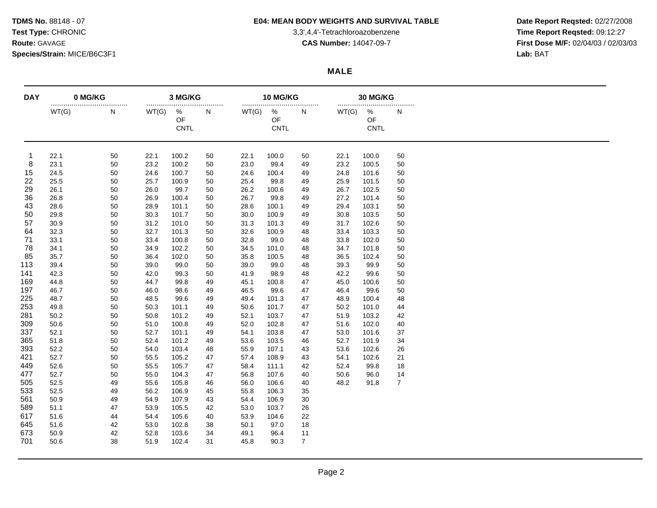# **TDMS No.** 88148 - 07 **E04: MEAN BODY WEIGHTS AND SURVIVAL TABLE Date Report Reqsted:** 02/27/2008

**Test Type:** CHRONIC 3,3',4,4'-Tetrachloroazobenzene **Time Report Reqsted:** 09:12:27 **Route:** GAVAGE **CAS Number:** 14047-09-7 **First Dose M/F:** 02/04/03 / 02/03/03

## **MALE**

| <b>DAY</b> | 0 MG/KG      |          | 3 MG/KG      |                               |          | 10 MG/KG     |                        |                | <b>30 MG/KG</b><br> |                        |                |  |
|------------|--------------|----------|--------------|-------------------------------|----------|--------------|------------------------|----------------|---------------------|------------------------|----------------|--|
|            | WT(G)        | <br>N    | WT(G)        | <br>$\%$<br>OF<br><b>CNTL</b> | N        | WT(G)        | %<br>OF<br><b>CNTL</b> | <br>N          | WT(G)               | %<br>OF<br><b>CNTL</b> | N              |  |
| -1         | 22.1         | 50       | 22.1         | 100.2                         | 50       | 22.1         | 100.0                  | 50             | 22.1                | 100.0                  | 50             |  |
| 8          | 23.1         | 50       | 23.2         | 100.2                         | 50       | 23.0         | 99.4                   | 49             | 23.2                | 100.5                  | 50             |  |
| 15         | 24.5         | 50       | 24.6         | 100.7                         | 50       | 24.6         | 100.4                  | 49             | 24.8                | 101.6                  | 50             |  |
| 22         | 25.5         | 50       | 25.7         | 100.9                         | 50       | 25.4         | 99.8                   | 49             | 25.9                | 101.5                  | 50             |  |
| 29         | 26.1         | 50       | 26.0         | 99.7                          | 50       | 26.2         | 100.6                  | 49             | 26.7                | 102.5                  | 50             |  |
| 36         | 26.8         | 50       | 26.9         | 100.4                         | 50       | 26.7         | 99.8                   | 49             | 27.2                | 101.4                  | 50             |  |
| 43         | 28.6         | 50       | 28.9         | 101.1                         | 50       | 28.6         | 100.1                  | 49             | 29.4                | 103.1                  | 50             |  |
| 50<br>57   | 29.8         | 50       | 30.3         | 101.7                         | 50       | 30.0         | 100.9                  | 49             | 30.8                | 103.5                  | 50             |  |
| 64         | 30.9<br>32.3 | 50<br>50 | 31.2<br>32.7 | 101.0                         | 50       | 31.3<br>32.6 | 101.3                  | 49             | 31.7<br>33.4        | 102.6<br>103.3         | 50<br>50       |  |
| 71         | 33.1         | 50       | 33.4         | 101.3<br>100.8                | 50<br>50 | 32.8         | 100.9<br>99.0          | 48<br>48       | 33.8                | 102.0                  | 50             |  |
| 78         | 34.1         | 50       | 34.9         | 102.2                         | 50       | 34.5         | 101.0                  | 48             | 34.7                | 101.8                  | 50             |  |
| 85         | 35.7         | 50       | 36.4         | 102.0                         | 50       | 35.8         | 100.5                  | 48             | 36.5                | 102.4                  | 50             |  |
| 113        | 39.4         | 50       | 39.0         | 99.0                          | 50       | 39.0         | 99.0                   | 48             | 39.3                | 99.9                   | 50             |  |
| 141        | 42.3         | 50       | 42.0         | 99.3                          | 50       | 41.9         | 98.9                   | 48             | 42.2                | 99.6                   | 50             |  |
| 169        | 44.8         | 50       | 44.7         | 99.8                          | 49       | 45.1         | 100.8                  | 47             | 45.0                | 100.6                  | 50             |  |
| 197        | 46.7         | 50       | 46.0         | 98.6                          | 49       | 46.5         | 99.6                   | 47             | 46.4                | 99.6                   | 50             |  |
| 225        | 48.7         | 50       | 48.5         | 99.6                          | 49       | 49.4         | 101.3                  | 47             | 48.9                | 100.4                  | 48             |  |
| 253        | 49.8         | 50       | 50.3         | 101.1                         | 49       | 50.6         | 101.7                  | 47             | 50.2                | 101.0                  | 44             |  |
| 281        | 50.2         | 50       | 50.8         | 101.2                         | 49       | 52.1         | 103.7                  | 47             | 51.9                | 103.2                  | 42             |  |
| 309        | 50.6         | 50       | 51.0         | 100.8                         | 49       | 52.0         | 102.8                  | 47             | 51.6                | 102.0                  | 40             |  |
| 337        | 52.1         | 50       | 52.7         | 101.1                         | 49       | 54.1         | 103.8                  | 47             | 53.0                | 101.6                  | 37             |  |
| 365        | 51.8         | 50       | 52.4         | 101.2                         | 49       | 53.6         | 103.5                  | 46             | 52.7                | 101.9                  | 34             |  |
| 393        | 52.2         | 50       | 54.0         | 103.4                         | 48       | 55.9         | 107.1                  | 43             | 53.6                | 102.6                  | 26             |  |
| 421        | 52.7         | 50       | 55.5         | 105.2                         | 47       | 57.4         | 108.9                  | 43             | 54.1                | 102.6                  | 21             |  |
| 449        | 52.6         | 50       | 55.5         | 105.7                         | 47       | 58.4         | 111.1                  | 42             | 52.4                | 99.8                   | 18             |  |
| 477        | 52.7         | 50       | 55.0         | 104.3                         | 47       | 56.8         | 107.6                  | 40             | 50.6                | 96.0                   | 14             |  |
| 505        | 52.5         | 49       | 55.6         | 105.8                         | 46       | 56.0         | 106.6                  | 40             | 48.2                | 91.8                   | $\overline{7}$ |  |
| 533        | 52.5         | 49       | 56.2         | 106.9                         | 45       | 55.8         | 106.3                  | 35             |                     |                        |                |  |
| 561        | 50.9         | 49       | 54.9         | 107.9                         | 43       | 54.4         | 106.9                  | 30             |                     |                        |                |  |
| 589        | 51.1         | 47       | 53.9         | 105.5                         | 42       | 53.0         | 103.7                  | 26             |                     |                        |                |  |
| 617        | 51.6         | 44       | 54.4         | 105.6                         | 40       | 53.9         | 104.6                  | 22             |                     |                        |                |  |
| 645        | 51.6         | 42       | 53.0         | 102.8                         | 38       | 50.1         | 97.0                   | 18             |                     |                        |                |  |
| 673        | 50.9         | 42       | 52.8         | 103.6                         | 34       | 49.1         | 96.4                   | 11             |                     |                        |                |  |
| 701        | 50.6         | 38       | 51.9         | 102.4                         | 31       | 45.8         | 90.3                   | $\overline{7}$ |                     |                        |                |  |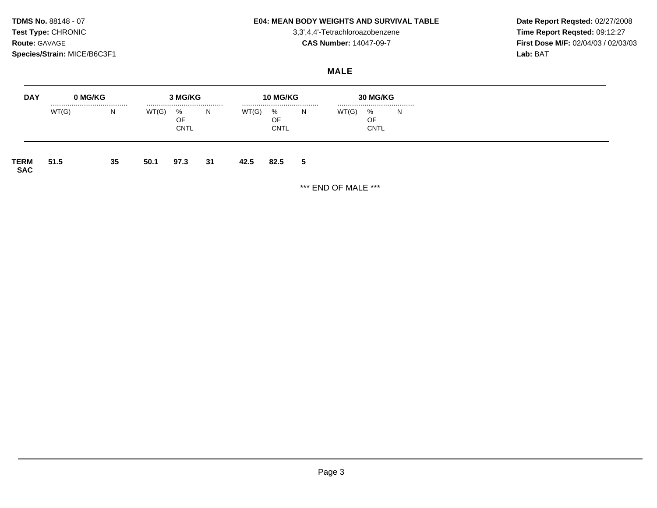## **TDMS No. 88148 - 07 E04: MEAN BODY WEIGHTS AND SURVIVAL TABLE** Date Report Reqsted: 02/27/2008

**Test Type:** CHRONIC 3,3',4,4'-Tetrachloroazobenzene **Time Report Reqsted:** 09:12:27 **Route:** GAVAGE **CAS Number:** 14047-09-7 **First Dose M/F:** 02/04/03 / 02/03/03

## **MALE**

| <b>DAY</b>                | 0 MG/KG   |    |       | 3 MG/KG                |    |       | <b>10 MG/KG</b>        |   |       | <b>30 MG/KG</b>        |       |
|---------------------------|-----------|----|-------|------------------------|----|-------|------------------------|---|-------|------------------------|-------|
|                           | <br>WT(G) | N  | WT(G) | %<br>OF<br><b>CNTL</b> | N. | WT(G) | %<br>OF<br><b>CNTL</b> | N | WT(G) | %<br>OF<br><b>CNTL</b> | <br>N |
| <b>TERM</b><br><b>SAC</b> | 51.5      | 35 | 50.1  | 97.3                   | 31 | 42.5  | 82.5                   | 5 |       |                        |       |

\*\*\* END OF MALE \*\*\*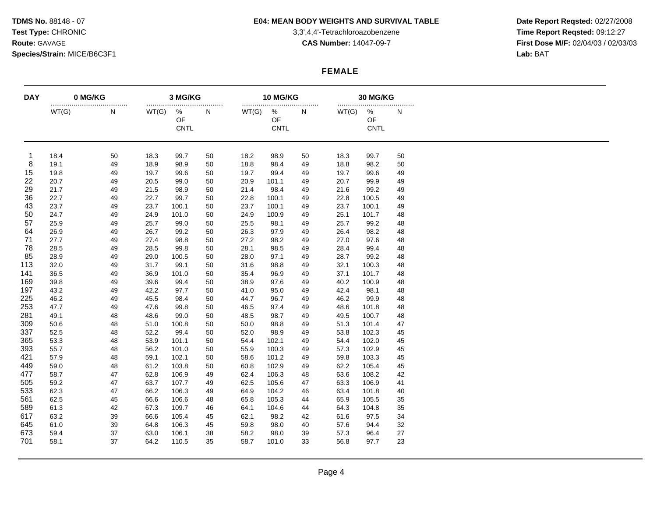# **TDMS No. 88148 - 07 E04: MEAN BODY WEIGHTS AND SURVIVAL TABLE** Date Report Reqsted: 02/27/2008

**Test Type:** CHRONIC 3,3',4,4'-Tetrachloroazobenzene **Time Report Reqsted:** 09:12:27 **Route:** GAVAGE **CAS Number:** 14047-09-7 **First Dose M/F:** 02/04/03 / 02/03/03

## **FEMALE**

| <b>DAY</b> |       | 0 MG/KG |       | 3 MG/KG<br>            |    |       | 10 MG/KG<br>           |    |       | 30 MG/KG<br>           |    |  |  |
|------------|-------|---------|-------|------------------------|----|-------|------------------------|----|-------|------------------------|----|--|--|
|            | WT(G) | <br>N   | WT(G) | %<br>OF<br><b>CNTL</b> | N  | WT(G) | %<br>OF<br><b>CNTL</b> | N  | WT(G) | %<br>OF<br><b>CNTL</b> | N  |  |  |
| -1         | 18.4  | 50      | 18.3  | 99.7                   | 50 | 18.2  | 98.9                   | 50 | 18.3  | 99.7                   | 50 |  |  |
| 8          | 19.1  | 49      | 18.9  | 98.9                   | 50 | 18.8  | 98.4                   | 49 | 18.8  | 98.2                   | 50 |  |  |
| 15         | 19.8  | 49      | 19.7  | 99.6                   | 50 | 19.7  | 99.4                   | 49 | 19.7  | 99.6                   | 49 |  |  |
| 22         | 20.7  | 49      | 20.5  | 99.0                   | 50 | 20.9  | 101.1                  | 49 | 20.7  | 99.9                   | 49 |  |  |
| 29         | 21.7  | 49      | 21.5  | 98.9                   | 50 | 21.4  | 98.4                   | 49 | 21.6  | 99.2                   | 49 |  |  |
| 36         | 22.7  | 49      | 22.7  | 99.7                   | 50 | 22.8  | 100.1                  | 49 | 22.8  | 100.5                  | 49 |  |  |
| 43         | 23.7  | 49      | 23.7  | 100.1                  | 50 | 23.7  | 100.1                  | 49 | 23.7  | 100.1                  | 49 |  |  |
| 50         | 24.7  | 49      | 24.9  | 101.0                  | 50 | 24.9  | 100.9                  | 49 | 25.1  | 101.7                  | 48 |  |  |
| 57         | 25.9  | 49      | 25.7  | 99.0                   | 50 | 25.5  | 98.1                   | 49 | 25.7  | 99.2                   | 48 |  |  |
| 64         | 26.9  | 49      | 26.7  | 99.2                   | 50 | 26.3  | 97.9                   | 49 | 26.4  | 98.2                   | 48 |  |  |
| 71         | 27.7  | 49      | 27.4  | 98.8                   | 50 | 27.2  | 98.2                   | 49 | 27.0  | 97.6                   | 48 |  |  |
| 78         | 28.5  | 49      | 28.5  | 99.8                   | 50 | 28.1  | 98.5                   | 49 | 28.4  | 99.4                   | 48 |  |  |
| 85         | 28.9  | 49      | 29.0  | 100.5                  | 50 | 28.0  | 97.1                   | 49 | 28.7  | 99.2                   | 48 |  |  |
| 113        | 32.0  | 49      | 31.7  | 99.1                   | 50 | 31.6  | 98.8                   | 49 | 32.1  | 100.3                  | 48 |  |  |
| 141        | 36.5  | 49      | 36.9  | 101.0                  | 50 | 35.4  | 96.9                   | 49 | 37.1  | 101.7                  | 48 |  |  |
| 169        | 39.8  | 49      | 39.6  | 99.4                   | 50 | 38.9  | 97.6                   | 49 | 40.2  | 100.9                  | 48 |  |  |
| 197        | 43.2  | 49      | 42.2  | 97.7                   | 50 | 41.0  | 95.0                   | 49 | 42.4  | 98.1                   | 48 |  |  |
| 225        | 46.2  | 49      | 45.5  | 98.4                   | 50 | 44.7  | 96.7                   | 49 | 46.2  | 99.9                   | 48 |  |  |
| 253        | 47.7  | 49      | 47.6  | 99.8                   | 50 | 46.5  | 97.4                   | 49 | 48.6  | 101.8                  | 48 |  |  |
| 281        | 49.1  | 48      | 48.6  | 99.0                   | 50 | 48.5  | 98.7                   | 49 | 49.5  | 100.7                  | 48 |  |  |
| 309        | 50.6  | 48      | 51.0  | 100.8                  | 50 | 50.0  | 98.8                   | 49 | 51.3  | 101.4                  | 47 |  |  |
| 337        | 52.5  | 48      | 52.2  | 99.4                   | 50 | 52.0  | 98.9                   | 49 | 53.8  | 102.3                  | 45 |  |  |
| 365        | 53.3  | 48      | 53.9  | 101.1                  | 50 | 54.4  | 102.1                  | 49 | 54.4  | 102.0                  | 45 |  |  |
| 393        | 55.7  | 48      | 56.2  | 101.0                  | 50 | 55.9  | 100.3                  | 49 | 57.3  | 102.9                  | 45 |  |  |
| 421        | 57.9  | 48      | 59.1  | 102.1                  | 50 | 58.6  | 101.2                  | 49 | 59.8  | 103.3                  | 45 |  |  |
| 449        | 59.0  | 48      | 61.2  | 103.8                  | 50 | 60.8  | 102.9                  | 49 | 62.2  | 105.4                  | 45 |  |  |
| 477        | 58.7  | 47      | 62.8  | 106.9                  | 49 | 62.4  | 106.3                  | 48 | 63.6  | 108.2                  | 42 |  |  |
| 505        | 59.2  | 47      | 63.7  | 107.7                  | 49 | 62.5  | 105.6                  | 47 | 63.3  | 106.9                  | 41 |  |  |
| 533        | 62.3  | 47      | 66.2  | 106.3                  | 49 | 64.9  | 104.2                  | 46 | 63.4  | 101.8                  | 40 |  |  |
|            |       |         |       |                        |    |       |                        |    |       |                        |    |  |  |
| 561        | 62.5  | 45      | 66.6  | 106.6                  | 48 | 65.8  | 105.3                  | 44 | 65.9  | 105.5                  | 35 |  |  |
| 589        | 61.3  | 42      | 67.3  | 109.7                  | 46 | 64.1  | 104.6                  | 44 | 64.3  | 104.8                  | 35 |  |  |
| 617        | 63.2  | 39      | 66.6  | 105.4                  | 45 | 62.1  | 98.2                   | 42 | 61.6  | 97.5                   | 34 |  |  |
| 645        | 61.0  | 39      | 64.8  | 106.3                  | 45 | 59.8  | 98.0                   | 40 | 57.6  | 94.4                   | 32 |  |  |
| 673        | 59.4  | 37      | 63.0  | 106.1                  | 38 | 58.2  | 98.0                   | 39 | 57.3  | 96.4                   | 27 |  |  |
| 701        | 58.1  | 37      | 64.2  | 110.5                  | 35 | 58.7  | 101.0                  | 33 | 56.8  | 97.7                   | 23 |  |  |